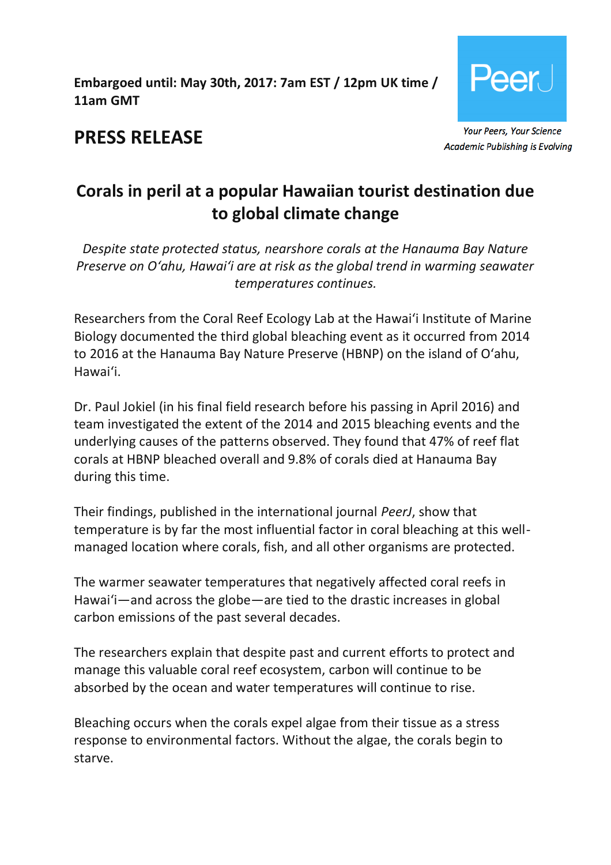**Embargoed until: May 30th, 2017: 7am EST / 12pm UK time / 11am GMT**



**PRESS RELEASE**

**Academic Publishing is Evolving** 

# **Corals in peril at a popular Hawaiian tourist destination due to global climate change**

*Despite state protected status, nearshore corals at the Hanauma Bay Nature Preserve on O'ahu, Hawai'i are at risk as the global trend in warming seawater temperatures continues.*

Researchers from the Coral Reef Ecology Lab at the Hawai'i Institute of Marine Biology documented the third global bleaching event as it occurred from 2014 to 2016 at the Hanauma Bay Nature Preserve (HBNP) on the island of O'ahu, Hawai'i.

Dr. Paul Jokiel (in his final field research before his passing in April 2016) and team investigated the extent of the 2014 and 2015 bleaching events and the underlying causes of the patterns observed. They found that 47% of reef flat corals at HBNP bleached overall and 9.8% of corals died at Hanauma Bay during this time.

Their findings, published in the international journal *PeerJ*, show that temperature is by far the most influential factor in coral bleaching at this wellmanaged location where corals, fish, and all other organisms are protected.

The warmer seawater temperatures that negatively affected coral reefs in Hawai'i—and across the globe—are tied to the drastic increases in global carbon emissions of the past several decades.

The researchers explain that despite past and current efforts to protect and manage this valuable coral reef ecosystem, carbon will continue to be absorbed by the ocean and water temperatures will continue to rise.

Bleaching occurs when the corals expel algae from their tissue as a stress response to environmental factors. Without the algae, the corals begin to starve.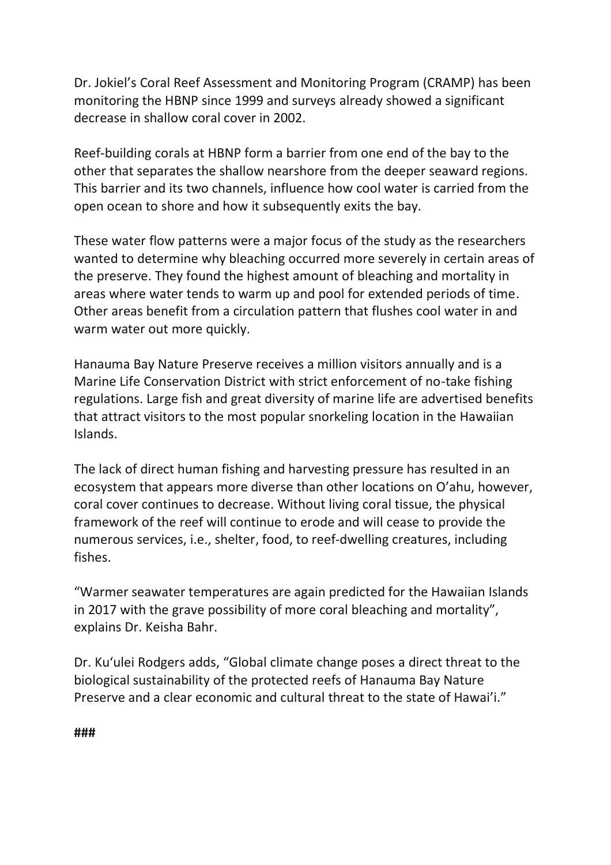Dr. Jokiel's Coral Reef Assessment and Monitoring Program (CRAMP) has been monitoring the HBNP since 1999 and surveys already showed a significant decrease in shallow coral cover in 2002.

Reef-building corals at HBNP form a barrier from one end of the bay to the other that separates the shallow nearshore from the deeper seaward regions. This barrier and its two channels, influence how cool water is carried from the open ocean to shore and how it subsequently exits the bay.

These water flow patterns were a major focus of the study as the researchers wanted to determine why bleaching occurred more severely in certain areas of the preserve. They found the highest amount of bleaching and mortality in areas where water tends to warm up and pool for extended periods of time. Other areas benefit from a circulation pattern that flushes cool water in and warm water out more quickly.

Hanauma Bay Nature Preserve receives a million visitors annually and is a Marine Life Conservation District with strict enforcement of no-take fishing regulations. Large fish and great diversity of marine life are advertised benefits that attract visitors to the most popular snorkeling location in the Hawaiian Islands.

The lack of direct human fishing and harvesting pressure has resulted in an ecosystem that appears more diverse than other locations on O'ahu, however, coral cover continues to decrease. Without living coral tissue, the physical framework of the reef will continue to erode and will cease to provide the numerous services, i.e., shelter, food, to reef-dwelling creatures, including fishes.

"Warmer seawater temperatures are again predicted for the Hawaiian Islands in 2017 with the grave possibility of more coral bleaching and mortality", explains Dr. Keisha Bahr.

Dr. Ku'ulei Rodgers adds, "Global climate change poses a direct threat to the biological sustainability of the protected reefs of Hanauma Bay Nature Preserve and a clear economic and cultural threat to the state of Hawai'i."

**###**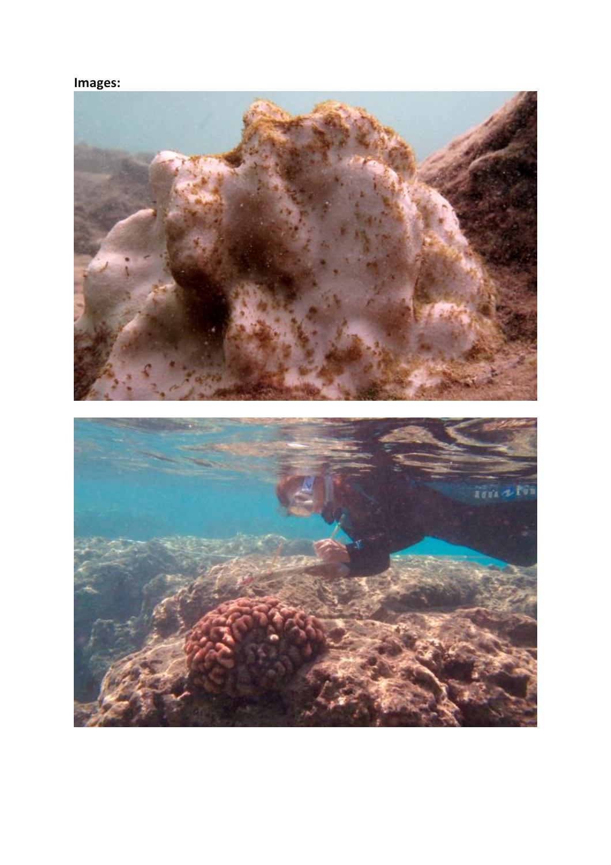## **Images:**

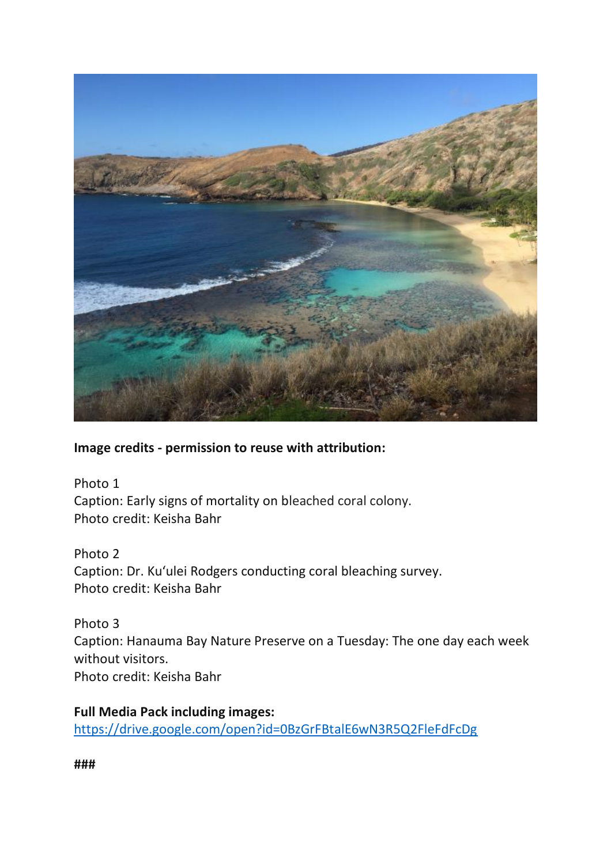

#### **Image credits - permission to reuse with attribution:**

Photo 1 Caption: Early signs of mortality on bleached coral colony. Photo credit: Keisha Bahr

Photo 2 Caption: Dr. Ku'ulei Rodgers conducting coral bleaching survey. Photo credit: Keisha Bahr

Photo 3 Caption: Hanauma Bay Nature Preserve on a Tuesday: The one day each week without visitors. Photo credit: Keisha Bahr

**Full Media Pack including images:**  <https://drive.google.com/open?id=0BzGrFBtalE6wN3R5Q2FleFdFcDg>

**###**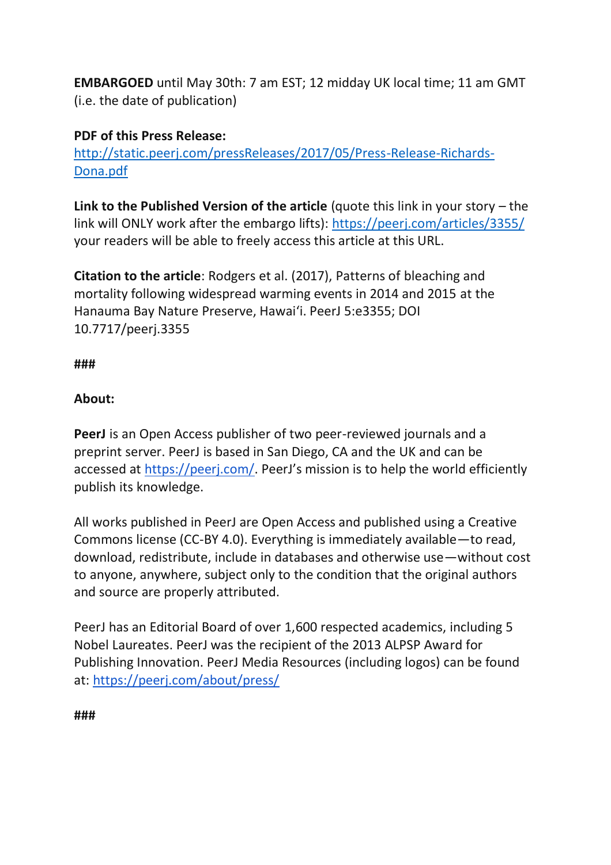**EMBARGOED** until May 30th: 7 am EST; 12 midday UK local time; 11 am GMT (i.e. the date of publication)

### **PDF of this Press Release:**

[http://static.peerj.com/pressReleases/2017/05/Press-Release-Richards-](http://static.peerj.com/pressReleases/2017/05/Press-Release-Richards-Dona.pdf)[Dona.pdf](http://static.peerj.com/pressReleases/2017/05/Press-Release-Richards-Dona.pdf)

**Link to the Published Version of the article** (quote this link in your story – the link will ONLY work after the embargo lifts): [https://peerj.com/articles/3355/](https://peerj.com/articles/3272/) your readers will be able to freely access this article at this URL.

**Citation to the article**: Rodgers et al. (2017), Patterns of bleaching and mortality following widespread warming events in 2014 and 2015 at the Hanauma Bay Nature Preserve, Hawai'i. PeerJ 5:e3355; DOI 10.7717/peerj.3355

#### **###**

#### **About:**

**PeerJ** is an Open Access publisher of two peer-reviewed journals and a preprint server. PeerJ is based in San Diego, CA and the UK and can be accessed at <https://peerj.com/>. PeerJ's mission is to help the world efficiently publish its knowledge.

All works published in PeerJ are Open Access and published using a Creative Commons license (CC-BY 4.0). Everything is immediately available—to read, download, redistribute, include in databases and otherwise use—without cost to anyone, anywhere, subject only to the condition that the original authors and source are properly attributed.

PeerJ has an Editorial Board of over 1,600 respected academics, including 5 Nobel Laureates. PeerJ was the recipient of the 2013 ALPSP Award for Publishing Innovation. PeerJ Media Resources (including logos) can be found at: <https://peerj.com/about/press/>

**###**